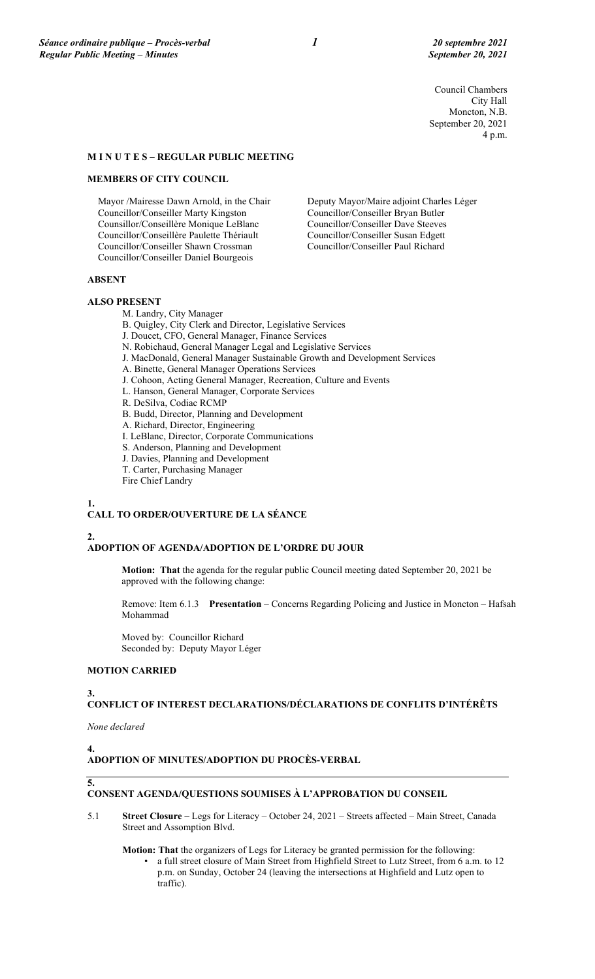Council Chambers City Hall Moncton, N.B. September 20, 2021 4 p.m.

# **M I N U T E S – REGULAR PUBLIC MEETING**

#### **MEMBERS OF CITY COUNCIL**

Mayor /Mairesse Dawn Arnold, in the Chair Councillor/Conseiller Marty Kingston Counsillor/Conseillère Monique LeBlanc Councillor/Conseillère Paulette Thériault Councillor/Conseiller Shawn Crossman Councillor/Conseiller Daniel Bourgeois

Deputy Mayor/Maire adjoint Charles Léger Councillor/Conseiller Bryan Butler Councillor/Conseiller Dave Steeves Councillor/Conseiller Susan Edgett Councillor/Conseiller Paul Richard

#### **ABSENT**

#### **ALSO PRESENT**

M. Landry, City Manager

B. Quigley, City Clerk and Director, Legislative Services

- J. Doucet, CFO, General Manager, Finance Services
- N. Robichaud, General Manager Legal and Legislative Services
- J. MacDonald, General Manager Sustainable Growth and Development Services
- A. Binette, General Manager Operations Services
- J. Cohoon, Acting General Manager, Recreation, Culture and Events
- L. Hanson, General Manager, Corporate Services
- R. DeSilva, Codiac RCMP
- B. Budd, Director, Planning and Development
- A. Richard, Director, Engineering
- I. LeBlanc, Director, Corporate Communications
- S. Anderson, Planning and Development
- J. Davies, Planning and Development
- T. Carter, Purchasing Manager
- Fire Chief Landry

#### **1.**

# **CALL TO ORDER/OUVERTURE DE LA SÉANCE**

#### **2.**

#### **ADOPTION OF AGENDA/ADOPTION DE L'ORDRE DU JOUR**

**Motion: That** the agenda for the regular public Council meeting dated September 20, 2021 be approved with the following change:

Remove: Item 6.1.3 **Presentation** – Concerns Regarding Policing and Justice in Moncton – Hafsah Mohammad

Moved by: Councillor Richard Seconded by: Deputy Mayor Léger

## **MOTION CARRIED**

**3.**

**CONFLICT OF INTEREST DECLARATIONS/DÉCLARATIONS DE CONFLITS D'INTÉRÊTS**

*None declared*

**4.**

# **ADOPTION OF MINUTES/ADOPTION DU PROCÈS-VERBAL**

#### **5.**

# **CONSENT AGENDA/QUESTIONS SOUMISES À L'APPROBATION DU CONSEIL**

- 5.1 **Street Closure –** Legs for Literacy October 24, 2021 Streets affected Main Street, Canada Street and Assomption Blvd.
	- **Motion: That** the organizers of Legs for Literacy be granted permission for the following:
		- a full street closure of Main Street from Highfield Street to Lutz Street, from 6 a.m. to 12 p.m. on Sunday, October 24 (leaving the intersections at Highfield and Lutz open to traffic).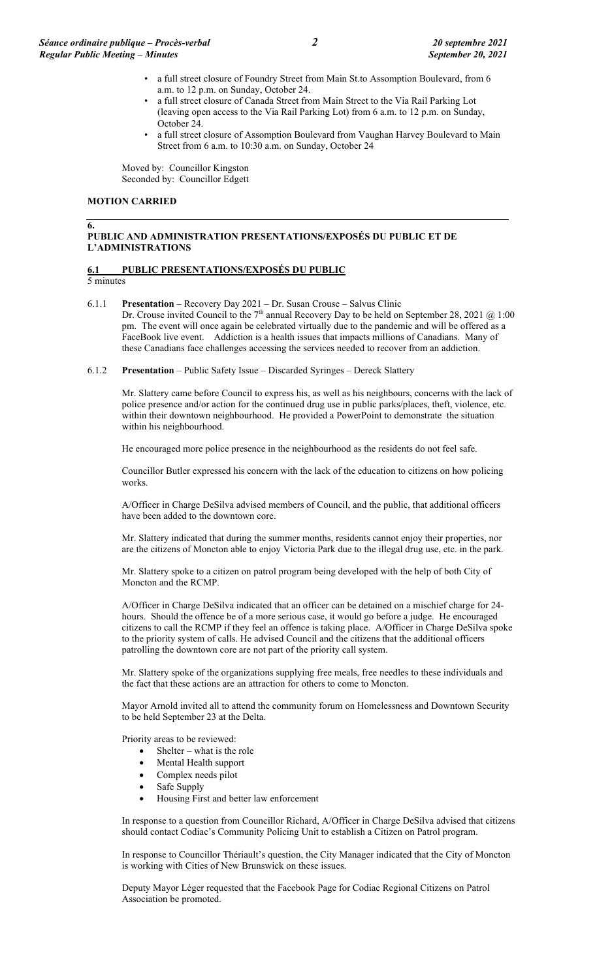- a full street closure of Foundry Street from Main St.to Assomption Boulevard, from 6 a.m. to 12 p.m. on Sunday, October 24.
- a full street closure of Canada Street from Main Street to the Via Rail Parking Lot (leaving open access to the Via Rail Parking Lot) from 6 a.m. to 12 p.m. on Sunday, October 24.
- a full street closure of Assomption Boulevard from Vaughan Harvey Boulevard to Main Street from 6 a.m. to 10:30 a.m. on Sunday, October 24

Moved by: Councillor Kingston Seconded by: Councillor Edgett

### **MOTION CARRIED**

## **PUBLIC AND ADMINISTRATION PRESENTATIONS/EXPOSÉS DU PUBLIC ET DE L'ADMINISTRATIONS**

# **6.1 PUBLIC PRESENTATIONS/EXPOSÉS DU PUBLIC**

5 minutes

**6.**

- 6.1.1 **Presentation** Recovery Day 2021 Dr. Susan Crouse Salvus Clinic Dr. Crouse invited Council to the 7<sup>th</sup> annual Recovery Day to be held on September 28, 2021 @ 1:00 pm. The event will once again be celebrated virtually due to the pandemic and will be offered as a FaceBook live event. Addiction is a health issues that impacts millions of Canadians. Many of these Canadians face challenges accessing the services needed to recover from an addiction.
- 6.1.2 **Presentation** Public Safety Issue Discarded Syringes Dereck Slattery

Mr. Slattery came before Council to express his, as well as his neighbours, concerns with the lack of police presence and/or action for the continued drug use in public parks/places, theft, violence, etc. within their downtown neighbourhood. He provided a PowerPoint to demonstrate the situation within his neighbourhood.

He encouraged more police presence in the neighbourhood as the residents do not feel safe.

Councillor Butler expressed his concern with the lack of the education to citizens on how policing works.

A/Officer in Charge DeSilva advised members of Council, and the public, that additional officers have been added to the downtown core.

Mr. Slattery indicated that during the summer months, residents cannot enjoy their properties, nor are the citizens of Moncton able to enjoy Victoria Park due to the illegal drug use, etc. in the park.

Mr. Slattery spoke to a citizen on patrol program being developed with the help of both City of Moncton and the RCMP.

A/Officer in Charge DeSilva indicated that an officer can be detained on a mischief charge for 24 hours. Should the offence be of a more serious case, it would go before a judge. He encouraged citizens to call the RCMP if they feel an offence is taking place. A/Officer in Charge DeSilva spoke to the priority system of calls. He advised Council and the citizens that the additional officers patrolling the downtown core are not part of the priority call system.

Mr. Slattery spoke of the organizations supplying free meals, free needles to these individuals and the fact that these actions are an attraction for others to come to Moncton.

Mayor Arnold invited all to attend the community forum on Homelessness and Downtown Security to be held September 23 at the Delta.

Priority areas to be reviewed:

- Shelter what is the role
- Mental Health support
- Complex needs pilot
- Safe Supply
- Housing First and better law enforcement

In response to a question from Councillor Richard, A/Officer in Charge DeSilva advised that citizens should contact Codiac's Community Policing Unit to establish a Citizen on Patrol program.

In response to Councillor Thériault's question, the City Manager indicated that the City of Moncton is working with Cities of New Brunswick on these issues.

Deputy Mayor Léger requested that the Facebook Page for Codiac Regional Citizens on Patrol Association be promoted.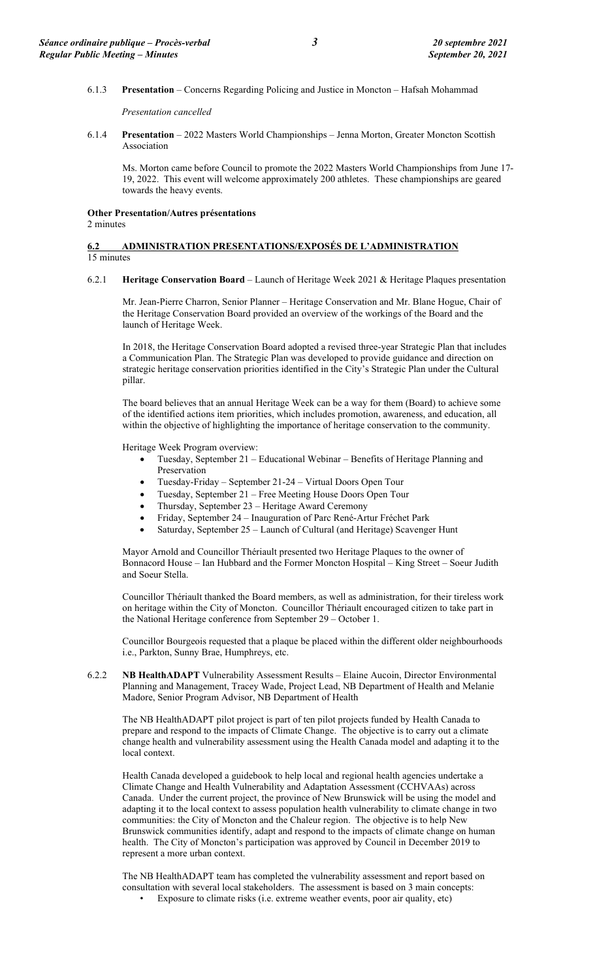#### 6.1.3 **Presentation** – Concerns Regarding Policing and Justice in Moncton – Hafsah Mohammad

*Presentation cancelled*

6.1.4 **Presentation** – 2022 Masters World Championships – Jenna Morton, Greater Moncton Scottish Association

Ms. Morton came before Council to promote the 2022 Masters World Championships from June 17- 19, 2022. This event will welcome approximately 200 athletes. These championships are geared towards the heavy events.

#### **Other Presentation/Autres présentations**

2 minutes

#### **6.2 ADMINISTRATION PRESENTATIONS/EXPOSÉS DE L'ADMINISTRATION**  15 minutes

#### 6.2.1 **Heritage Conservation Board** – Launch of Heritage Week 2021 & Heritage Plaques presentation

Mr. Jean-Pierre Charron, Senior Planner – Heritage Conservation and Mr. Blane Hogue, Chair of the Heritage Conservation Board provided an overview of the workings of the Board and the launch of Heritage Week.

In 2018, the Heritage Conservation Board adopted a revised three-year Strategic Plan that includes a Communication Plan. The Strategic Plan was developed to provide guidance and direction on strategic heritage conservation priorities identified in the City's Strategic Plan under the Cultural pillar.

The board believes that an annual Heritage Week can be a way for them (Board) to achieve some of the identified actions item priorities, which includes promotion, awareness, and education, all within the objective of highlighting the importance of heritage conservation to the community.

Heritage Week Program overview:

- Tuesday, September 21 Educational Webinar Benefits of Heritage Planning and Preservation
- Tuesday-Friday September 21-24 Virtual Doors Open Tour
- Tuesday, September 21 Free Meeting House Doors Open Tour
- Thursday, September 23 Heritage Award Ceremony
- Friday, September 24 Inauguration of Parc René-Artur Fréchet Park
- Saturday, September 25 Launch of Cultural (and Heritage) Scavenger Hunt

Mayor Arnold and Councillor Thériault presented two Heritage Plaques to the owner of Bonnacord House – Ian Hubbard and the Former Moncton Hospital – King Street – Soeur Judith and Soeur Stella.

Councillor Thériault thanked the Board members, as well as administration, for their tireless work on heritage within the City of Moncton. Councillor Thériault encouraged citizen to take part in the National Heritage conference from September 29 – October 1.

Councillor Bourgeois requested that a plaque be placed within the different older neighbourhoods i.e., Parkton, Sunny Brae, Humphreys, etc.

6.2.2 **NB HealthADAPT** Vulnerability Assessment Results – Elaine Aucoin, Director Environmental Planning and Management, Tracey Wade, Project Lead, NB Department of Health and Melanie Madore, Senior Program Advisor, NB Department of Health

The NB HealthADAPT pilot project is part of ten pilot projects funded by Health Canada to prepare and respond to the impacts of Climate Change. The objective is to carry out a climate change health and vulnerability assessment using the Health Canada model and adapting it to the local context.

Health Canada developed a guidebook to help local and regional health agencies undertake a Climate Change and Health Vulnerability and Adaptation Assessment (CCHVAAs) across Canada. Under the current project, the province of New Brunswick will be using the model and adapting it to the local context to assess population health vulnerability to climate change in two communities: the City of Moncton and the Chaleur region. The objective is to help New Brunswick communities identify, adapt and respond to the impacts of climate change on human health. The City of Moncton's participation was approved by Council in December 2019 to represent a more urban context.

The NB HealthADAPT team has completed the vulnerability assessment and report based on consultation with several local stakeholders. The assessment is based on 3 main concepts:

• Exposure to climate risks (i.e. extreme weather events, poor air quality, etc)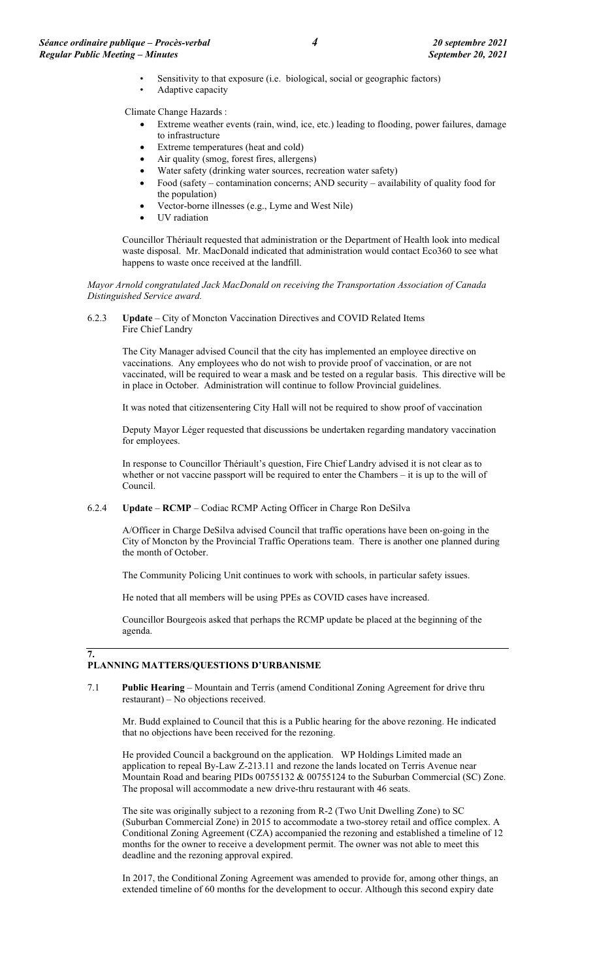- Sensitivity to that exposure (i.e. biological, social or geographic factors)
- Adaptive capacity

Climate Change Hazards :

- Extreme weather events (rain, wind, ice, etc.) leading to flooding, power failures, damage to infrastructure
- Extreme temperatures (heat and cold)
- Air quality (smog, forest fires, allergens)
- Water safety (drinking water sources, recreation water safety)
- Food (safety contamination concerns; AND security availability of quality food for the population)
- Vector-borne illnesses (e.g., Lyme and West Nile)
- UV radiation

Councillor Thériault requested that administration or the Department of Health look into medical waste disposal. Mr. MacDonald indicated that administration would contact Eco360 to see what happens to waste once received at the landfill.

*Mayor Arnold congratulated Jack MacDonald on receiving the Transportation Association of Canada Distinguished Service award.* 

6.2.3 **Update** – City of Moncton Vaccination Directives and COVID Related Items Fire Chief Landry

> The City Manager advised Council that the city has implemented an employee directive on vaccinations. Any employees who do not wish to provide proof of vaccination, or are not vaccinated, will be required to wear a mask and be tested on a regular basis. This directive will be in place in October. Administration will continue to follow Provincial guidelines.

It was noted that citizensentering City Hall will not be required to show proof of vaccination

Deputy Mayor Léger requested that discussions be undertaken regarding mandatory vaccination for employees.

In response to Councillor Thériault's question, Fire Chief Landry advised it is not clear as to whether or not vaccine passport will be required to enter the Chambers – it is up to the will of Council.

#### 6.2.4 **Update** – **RCMP** – Codiac RCMP Acting Officer in Charge Ron DeSilva

A/Officer in Charge DeSilva advised Council that traffic operations have been on-going in the City of Moncton by the Provincial Traffic Operations team. There is another one planned during the month of October.

The Community Policing Unit continues to work with schools, in particular safety issues.

He noted that all members will be using PPEs as COVID cases have increased.

Councillor Bourgeois asked that perhaps the RCMP update be placed at the beginning of the agenda.

# **PLANNING MATTERS/QUESTIONS D'URBANISME**

**7.**

7.1 **Public Hearing** – Mountain and Terris (amend Conditional Zoning Agreement for drive thru restaurant) – No objections received.

Mr. Budd explained to Council that this is a Public hearing for the above rezoning. He indicated that no objections have been received for the rezoning.

He provided Council a background on the application. WP Holdings Limited made an application to repeal By-Law Z-213.11 and rezone the lands located on Terris Avenue near Mountain Road and bearing PIDs 00755132 & 00755124 to the Suburban Commercial (SC) Zone. The proposal will accommodate a new drive-thru restaurant with 46 seats.

The site was originally subject to a rezoning from R-2 (Two Unit Dwelling Zone) to SC (Suburban Commercial Zone) in 2015 to accommodate a two-storey retail and office complex. A Conditional Zoning Agreement (CZA) accompanied the rezoning and established a timeline of 12 months for the owner to receive a development permit. The owner was not able to meet this deadline and the rezoning approval expired.

In 2017, the Conditional Zoning Agreement was amended to provide for, among other things, an extended timeline of 60 months for the development to occur. Although this second expiry date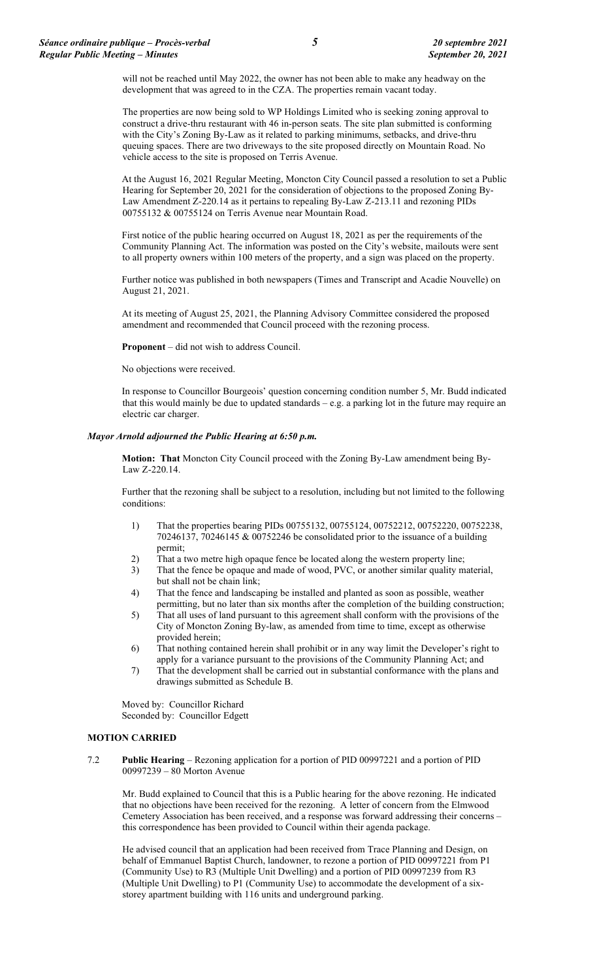will not be reached until May 2022, the owner has not been able to make any headway on the development that was agreed to in the CZA. The properties remain vacant today.

The properties are now being sold to WP Holdings Limited who is seeking zoning approval to construct a drive-thru restaurant with 46 in-person seats. The site plan submitted is conforming with the City's Zoning By-Law as it related to parking minimums, setbacks, and drive-thru queuing spaces. There are two driveways to the site proposed directly on Mountain Road. No vehicle access to the site is proposed on Terris Avenue.

At the August 16, 2021 Regular Meeting, Moncton City Council passed a resolution to set a Public Hearing for September 20, 2021 for the consideration of objections to the proposed Zoning By-Law Amendment Z-220.14 as it pertains to repealing By-Law Z-213.11 and rezoning PIDs 00755132 & 00755124 on Terris Avenue near Mountain Road.

First notice of the public hearing occurred on August 18, 2021 as per the requirements of the Community Planning Act. The information was posted on the City's website, mailouts were sent to all property owners within 100 meters of the property, and a sign was placed on the property.

Further notice was published in both newspapers (Times and Transcript and Acadie Nouvelle) on August 21, 2021.

At its meeting of August 25, 2021, the Planning Advisory Committee considered the proposed amendment and recommended that Council proceed with the rezoning process.

**Proponent** – did not wish to address Council.

No objections were received.

In response to Councillor Bourgeois' question concerning condition number 5, Mr. Budd indicated that this would mainly be due to updated standards – e.g. a parking lot in the future may require an electric car charger.

#### *Mayor Arnold adjourned the Public Hearing at 6:50 p.m.*

**Motion: That** Moncton City Council proceed with the Zoning By-Law amendment being By-Law Z-220.14.

Further that the rezoning shall be subject to a resolution, including but not limited to the following conditions:

- 1) That the properties bearing PIDs 00755132, 00755124, 00752212, 00752220, 00752238, 70246137, 70246145 & 00752246 be consolidated prior to the issuance of a building permit;
- 2) That a two metre high opaque fence be located along the western property line;
- 3) That the fence be opaque and made of wood, PVC, or another similar quality material, but shall not be chain link;
- 4) That the fence and landscaping be installed and planted as soon as possible, weather permitting, but no later than six months after the completion of the building construction;
- 5) That all uses of land pursuant to this agreement shall conform with the provisions of the City of Moncton Zoning By-law, as amended from time to time, except as otherwise provided herein;
- 6) That nothing contained herein shall prohibit or in any way limit the Developer's right to apply for a variance pursuant to the provisions of the Community Planning Act; and
- 7) That the development shall be carried out in substantial conformance with the plans and drawings submitted as Schedule B.

Moved by: Councillor Richard Seconded by: Councillor Edgett

#### **MOTION CARRIED**

7.2 **Public Hearing** – Rezoning application for a portion of PID 00997221 and a portion of PID 00997239 – 80 Morton Avenue

Mr. Budd explained to Council that this is a Public hearing for the above rezoning. He indicated that no objections have been received for the rezoning. A letter of concern from the Elmwood Cemetery Association has been received, and a response was forward addressing their concerns – this correspondence has been provided to Council within their agenda package.

He advised council that an application had been received from Trace Planning and Design, on behalf of Emmanuel Baptist Church, landowner, to rezone a portion of PID 00997221 from P1 (Community Use) to R3 (Multiple Unit Dwelling) and a portion of PID 00997239 from R3 (Multiple Unit Dwelling) to P1 (Community Use) to accommodate the development of a sixstorey apartment building with 116 units and underground parking.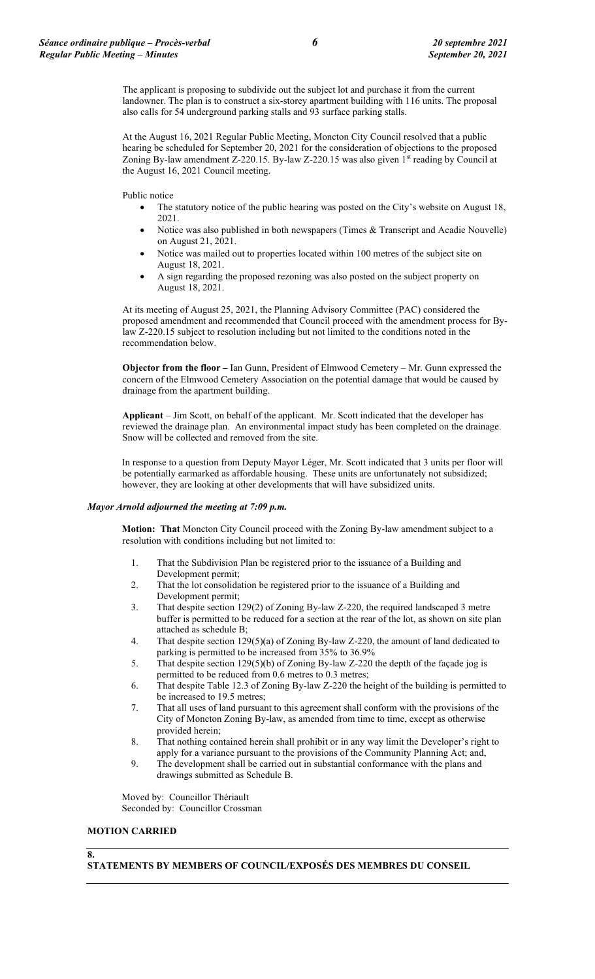The applicant is proposing to subdivide out the subject lot and purchase it from the current landowner. The plan is to construct a six-storey apartment building with 116 units. The proposal also calls for 54 underground parking stalls and 93 surface parking stalls.

At the August 16, 2021 Regular Public Meeting, Moncton City Council resolved that a public hearing be scheduled for September 20, 2021 for the consideration of objections to the proposed Zoning By-law amendment Z-220.15. By-law Z-220.15 was also given 1st reading by Council at the August 16, 2021 Council meeting.

Public notice

- The statutory notice of the public hearing was posted on the City's website on August 18, 2021.
- Notice was also published in both newspapers (Times & Transcript and Acadie Nouvelle) on August 21, 2021.
- Notice was mailed out to properties located within 100 metres of the subject site on August 18, 2021.
- A sign regarding the proposed rezoning was also posted on the subject property on August 18, 2021.

At its meeting of August 25, 2021, the Planning Advisory Committee (PAC) considered the proposed amendment and recommended that Council proceed with the amendment process for Bylaw Z-220.15 subject to resolution including but not limited to the conditions noted in the recommendation below.

**Objector from the floor –** Ian Gunn, President of Elmwood Cemetery – Mr. Gunn expressed the concern of the Elmwood Cemetery Association on the potential damage that would be caused by drainage from the apartment building.

**Applicant** – Jim Scott, on behalf of the applicant. Mr. Scott indicated that the developer has reviewed the drainage plan. An environmental impact study has been completed on the drainage. Snow will be collected and removed from the site.

In response to a question from Deputy Mayor Léger, Mr. Scott indicated that 3 units per floor will be potentially earmarked as affordable housing. These units are unfortunately not subsidized; however, they are looking at other developments that will have subsidized units.

#### *Mayor Arnold adjourned the meeting at 7:09 p.m.*

**Motion: That** Moncton City Council proceed with the Zoning By-law amendment subject to a resolution with conditions including but not limited to:

- 1. That the Subdivision Plan be registered prior to the issuance of a Building and Development permit;
- 2. That the lot consolidation be registered prior to the issuance of a Building and Development permit;
- 3. That despite section 129(2) of Zoning By-law Z-220, the required landscaped 3 metre buffer is permitted to be reduced for a section at the rear of the lot, as shown on site plan attached as schedule B;
- 4. That despite section 129(5)(a) of Zoning By-law Z-220, the amount of land dedicated to parking is permitted to be increased from 35% to 36.9%
- 5. That despite section 129(5)(b) of Zoning By-law Z-220 the depth of the façade jog is permitted to be reduced from 0.6 metres to 0.3 metres;
- 6. That despite Table 12.3 of Zoning By-law Z-220 the height of the building is permitted to be increased to 19.5 metres;
- 7. That all uses of land pursuant to this agreement shall conform with the provisions of the City of Moncton Zoning By-law, as amended from time to time, except as otherwise provided herein;
- 8. That nothing contained herein shall prohibit or in any way limit the Developer's right to apply for a variance pursuant to the provisions of the Community Planning Act; and,
- 9. The development shall be carried out in substantial conformance with the plans and drawings submitted as Schedule B.

Moved by: Councillor Thériault Seconded by: Councillor Crossman

# **MOTION CARRIED**

# **8.**

**STATEMENTS BY MEMBERS OF COUNCIL/EXPOSÉS DES MEMBRES DU CONSEIL**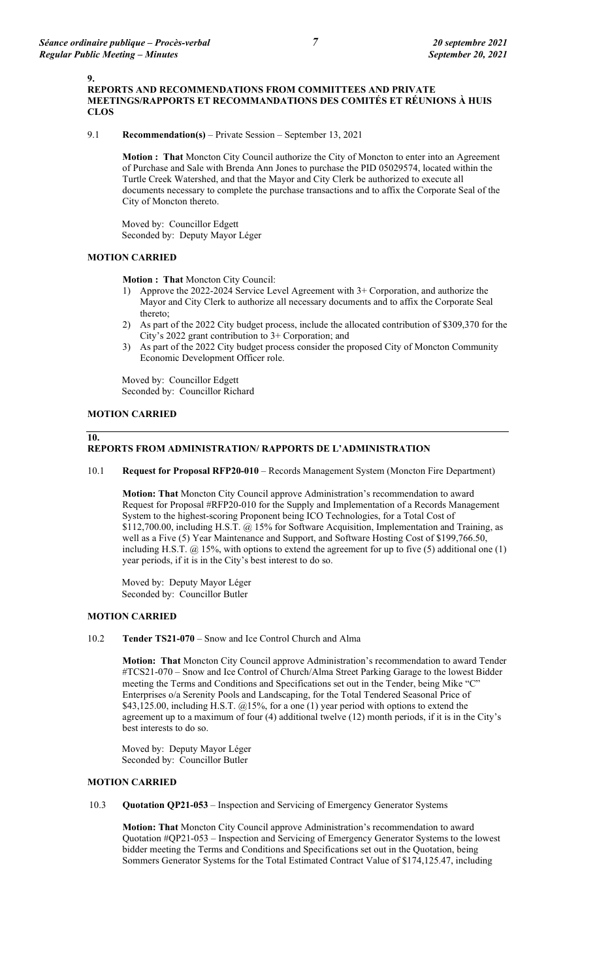**9.**

9.1 **Recommendation(s)** – Private Session – September 13, 2021

**Motion : That** Moncton City Council authorize the City of Moncton to enter into an Agreement of Purchase and Sale with Brenda Ann Jones to purchase the PID 05029574, located within the Turtle Creek Watershed, and that the Mayor and City Clerk be authorized to execute all documents necessary to complete the purchase transactions and to affix the Corporate Seal of the City of Moncton thereto.

Moved by: Councillor Edgett Seconded by: Deputy Mayor Léger

# **MOTION CARRIED**

**Motion : That** Moncton City Council:

- 1) Approve the 2022-2024 Service Level Agreement with 3+ Corporation, and authorize the Mayor and City Clerk to authorize all necessary documents and to affix the Corporate Seal thereto;
- 2) As part of the 2022 City budget process, include the allocated contribution of \$309,370 for the City's 2022 grant contribution to 3+ Corporation; and
- 3) As part of the 2022 City budget process consider the proposed City of Moncton Community Economic Development Officer role.

Moved by: Councillor Edgett Seconded by: Councillor Richard

# **MOTION CARRIED**

#### **10. REPORTS FROM ADMINISTRATION/ RAPPORTS DE L'ADMINISTRATION**

# 10.1 **Request for Proposal RFP20-010** – Records Management System (Moncton Fire Department)

**Motion: That** Moncton City Council approve Administration's recommendation to award Request for Proposal #RFP20-010 for the Supply and Implementation of a Records Management System to the highest-scoring Proponent being ICO Technologies, for a Total Cost of \$112,700.00, including H.S.T. @ 15% for Software Acquisition, Implementation and Training, as well as a Five (5) Year Maintenance and Support, and Software Hosting Cost of \$199,766.50, including H.S.T. @ 15%, with options to extend the agreement for up to five (5) additional one (1) year periods, if it is in the City's best interest to do so.

Moved by: Deputy Mayor Léger Seconded by: Councillor Butler

# **MOTION CARRIED**

10.2 **Tender TS21-070** – Snow and Ice Control Church and Alma

**Motion: That** Moncton City Council approve Administration's recommendation to award Tender #TCS21-070 – Snow and Ice Control of Church/Alma Street Parking Garage to the lowest Bidder meeting the Terms and Conditions and Specifications set out in the Tender, being Mike "C" Enterprises o/a Serenity Pools and Landscaping, for the Total Tendered Seasonal Price of \$43,125.00, including H.S.T. @15%, for a one (1) year period with options to extend the agreement up to a maximum of four (4) additional twelve (12) month periods, if it is in the City's best interests to do so.

Moved by: Deputy Mayor Léger Seconded by: Councillor Butler

# **MOTION CARRIED**

10.3 **Quotation QP21-053** – Inspection and Servicing of Emergency Generator Systems

**Motion: That** Moncton City Council approve Administration's recommendation to award Quotation #QP21-053 – Inspection and Servicing of Emergency Generator Systems to the lowest bidder meeting the Terms and Conditions and Specifications set out in the Quotation, being Sommers Generator Systems for the Total Estimated Contract Value of \$174,125.47, including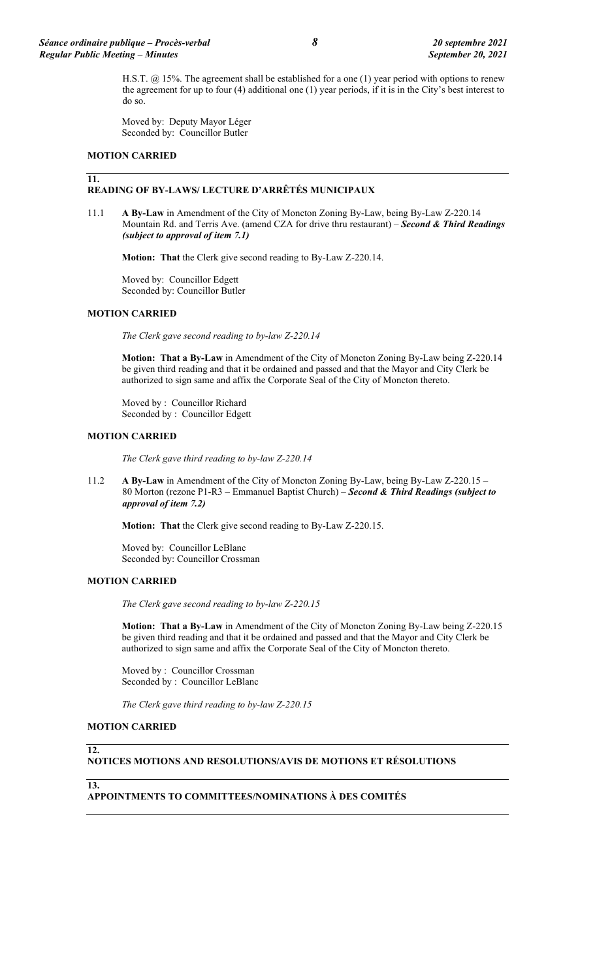H.S.T. @ 15%. The agreement shall be established for a one (1) year period with options to renew the agreement for up to four (4) additional one (1) year periods, if it is in the City's best interest to do so.

Moved by: Deputy Mayor Léger Seconded by: Councillor Butler

#### **MOTION CARRIED**

#### **11. READING OF BY-LAWS/ LECTURE D'ARRÊTÉS MUNICIPAUX**

11.1 **A By-Law** in Amendment of the City of Moncton Zoning By-Law, being By-Law Z-220.14 Mountain Rd. and Terris Ave. (amend CZA for drive thru restaurant) – *Second & Third Readings (subject to approval of item 7.1)*

**Motion: That** the Clerk give second reading to By-Law Z-220.14.

Moved by: Councillor Edgett Seconded by: Councillor Butler

#### **MOTION CARRIED**

*The Clerk gave second reading to by-law Z-220.14*

**Motion: That a By-Law** in Amendment of the City of Moncton Zoning By-Law being Z-220.14 be given third reading and that it be ordained and passed and that the Mayor and City Clerk be authorized to sign same and affix the Corporate Seal of the City of Moncton thereto.

Moved by : Councillor Richard Seconded by : Councillor Edgett

#### **MOTION CARRIED**

*The Clerk gave third reading to by-law Z-220.14*

11.2 **A By-Law** in Amendment of the City of Moncton Zoning By-Law, being By-Law Z-220.15 – 80 Morton (rezone P1-R3 – Emmanuel Baptist Church) – *Second & Third Readings (subject to approval of item 7.2)*

**Motion: That** the Clerk give second reading to By-Law Z-220.15.

Moved by: Councillor LeBlanc Seconded by: Councillor Crossman

## **MOTION CARRIED**

*The Clerk gave second reading to by-law Z-220.15*

**Motion: That a By-Law** in Amendment of the City of Moncton Zoning By-Law being Z-220.15 be given third reading and that it be ordained and passed and that the Mayor and City Clerk be authorized to sign same and affix the Corporate Seal of the City of Moncton thereto.

Moved by : Councillor Crossman Seconded by : Councillor LeBlanc

*The Clerk gave third reading to by-law Z-220.15*

#### **MOTION CARRIED**

**12.**

**13.**

#### **NOTICES MOTIONS AND RESOLUTIONS/AVIS DE MOTIONS ET RÉSOLUTIONS**

# **APPOINTMENTS TO COMMITTEES/NOMINATIONS À DES COMITÉS**